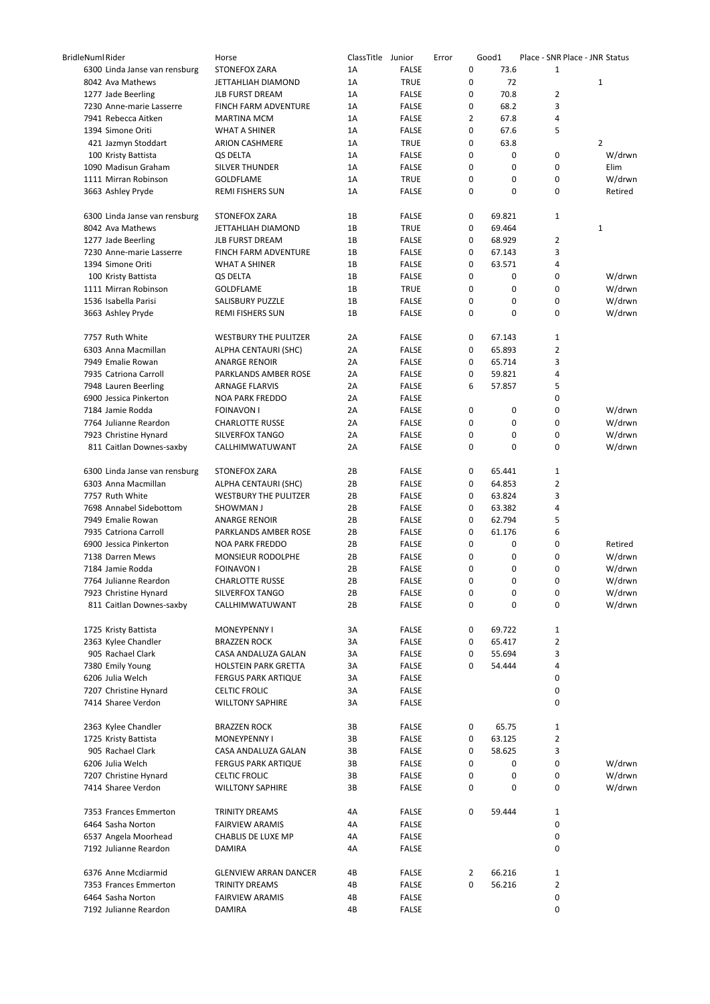| <b>BridleNuml Rider</b> |                                             | Horse                                              | ClassTitle Junior |                              | Error |                | Good1       |                | Place - SNR Place - JNR Status |
|-------------------------|---------------------------------------------|----------------------------------------------------|-------------------|------------------------------|-------|----------------|-------------|----------------|--------------------------------|
|                         | 6300 Linda Janse van rensburg               | <b>STONEFOX ZARA</b>                               | 1A                | <b>FALSE</b>                 |       | 0              | 73.6        | $\mathbf 1$    |                                |
|                         | 8042 Ava Mathews                            | JETTAHLIAH DIAMOND                                 | 1A                | <b>TRUE</b>                  |       | 0              | 72          |                | 1                              |
|                         | 1277 Jade Beerling                          | <b>JLB FURST DREAM</b>                             | 1A                | <b>FALSE</b>                 |       | 0              | 70.8        | $\overline{2}$ |                                |
|                         | 7230 Anne-marie Lasserre                    | FINCH FARM ADVENTURE                               | 1A                | <b>FALSE</b>                 |       | 0              | 68.2        | 3              |                                |
|                         | 7941 Rebecca Aitken                         | <b>MARTINA MCM</b>                                 | 1A                | <b>FALSE</b>                 |       | $\overline{2}$ | 67.8        | 4              |                                |
|                         | 1394 Simone Oriti                           | <b>WHAT A SHINER</b>                               | 1A                | <b>FALSE</b>                 |       | 0              | 67.6        | 5              |                                |
|                         | 421 Jazmyn Stoddart                         | <b>ARION CASHMERE</b>                              | 1A                | <b>TRUE</b>                  |       | 0              | 63.8        |                | 2                              |
|                         | 100 Kristy Battista                         | QS DELTA                                           | 1A                | <b>FALSE</b>                 |       | 0              | 0           | 0              | W/drwn                         |
|                         | 1090 Madisun Graham                         | <b>SILVER THUNDER</b>                              | 1A                | <b>FALSE</b>                 |       | 0              | 0           | 0              | Elim                           |
|                         | 1111 Mirran Robinson                        | <b>GOLDFLAME</b>                                   | 1A                | <b>TRUE</b>                  |       | 0              | 0           | 0              | W/drwn                         |
|                         | 3663 Ashley Pryde                           | <b>REMI FISHERS SUN</b>                            | 1A                | <b>FALSE</b>                 |       | 0              | 0           | 0              | Retired                        |
|                         | 6300 Linda Janse van rensburg               | STONEFOX ZARA                                      | 1B                | <b>FALSE</b>                 |       | 0              | 69.821      | $\mathbf{1}$   |                                |
|                         | 8042 Ava Mathews                            | JETTAHLIAH DIAMOND                                 | 1B                | <b>TRUE</b>                  |       | 0              | 69.464      |                | 1                              |
|                         | 1277 Jade Beerling                          | <b>JLB FURST DREAM</b>                             | 1B                | <b>FALSE</b>                 |       | 0              | 68.929      | 2              |                                |
|                         | 7230 Anne-marie Lasserre                    | FINCH FARM ADVENTURE                               | 1B                | <b>FALSE</b>                 |       | 0              | 67.143      | 3              |                                |
|                         | 1394 Simone Oriti                           | <b>WHAT A SHINER</b>                               | 1B                | <b>FALSE</b>                 |       | 0              | 63.571      | 4              |                                |
|                         | 100 Kristy Battista                         | QS DELTA                                           | 1B                | <b>FALSE</b>                 |       | 0              | 0           | 0              | W/drwn                         |
|                         | 1111 Mirran Robinson                        | <b>GOLDFLAME</b>                                   | 1B                | <b>TRUE</b>                  |       | 0              | 0           | 0              | W/drwn                         |
|                         | 1536 Isabella Parisi                        | SALISBURY PUZZLE                                   | 1B                | <b>FALSE</b>                 |       | 0              | 0           | 0              | W/drwn                         |
|                         | 3663 Ashley Pryde                           | REMI FISHERS SUN                                   | 1B                | <b>FALSE</b>                 |       | 0              | 0           | 0              | W/drwn                         |
|                         | 7757 Ruth White                             | <b>WESTBURY THE PULITZER</b>                       | 2A                | <b>FALSE</b>                 |       | 0              | 67.143      | 1              |                                |
|                         | 6303 Anna Macmillan                         | ALPHA CENTAURI (SHC)                               | 2A                | <b>FALSE</b>                 |       | $\mathbf 0$    | 65.893      | 2              |                                |
|                         | 7949 Emalie Rowan                           | <b>ANARGE RENOIR</b>                               | 2Α                | <b>FALSE</b>                 |       | 0              | 65.714      | 3              |                                |
|                         | 7935 Catriona Carroll                       | PARKLANDS AMBER ROSE                               | 2A                | <b>FALSE</b>                 |       | 0              | 59.821      | 4              |                                |
|                         | 7948 Lauren Beerling                        | <b>ARNAGE FLARVIS</b>                              | 2A                | <b>FALSE</b>                 |       | 6              | 57.857      | 5              |                                |
|                         | 6900 Jessica Pinkerton                      | <b>NOA PARK FREDDO</b>                             | 2A                | <b>FALSE</b>                 |       |                |             | 0              |                                |
|                         | 7184 Jamie Rodda                            | <b>FOINAVON I</b>                                  | 2A                | <b>FALSE</b>                 |       | 0              | 0           | 0              | W/drwn                         |
|                         | 7764 Julianne Reardon                       | <b>CHARLOTTE RUSSE</b>                             | 2A                | <b>FALSE</b>                 |       | 0              | $\mathbf 0$ | 0              | W/drwn                         |
|                         | 7923 Christine Hynard                       | SILVERFOX TANGO                                    | 2A                | <b>FALSE</b>                 |       | 0              | 0           | 0              | W/drwn                         |
|                         | 811 Caitlan Downes-saxby                    | CALLHIMWATUWANT                                    | 2A                | <b>FALSE</b>                 |       | 0              | $\mathbf 0$ | 0              | W/drwn                         |
|                         | 6300 Linda Janse van rensburg               | STONEFOX ZARA                                      | 2B                | <b>FALSE</b>                 |       | 0              | 65.441      | 1              |                                |
|                         | 6303 Anna Macmillan                         | ALPHA CENTAURI (SHC)                               | 2B                | <b>FALSE</b>                 |       | 0              | 64.853      | 2              |                                |
|                         | 7757 Ruth White                             | <b>WESTBURY THE PULITZER</b>                       | 2B                | <b>FALSE</b>                 |       | 0              | 63.824      | 3              |                                |
|                         | 7698 Annabel Sidebottom                     | SHOWMAN J                                          | 2B                | <b>FALSE</b>                 |       | 0              | 63.382      | 4              |                                |
|                         | 7949 Emalie Rowan                           | <b>ANARGE RENOIR</b>                               | 2B                | <b>FALSE</b>                 |       | 0              | 62.794      | 5              |                                |
|                         | 7935 Catriona Carroll                       | PARKLANDS AMBER ROSE                               | 2B                | <b>FALSE</b>                 |       | 0              | 61.176      | 6              |                                |
|                         | 6900 Jessica Pinkerton                      | <b>NOA PARK FREDDO</b>                             | 2B                | <b>FALSE</b>                 |       | 0              | $\mathbf 0$ | 0              | Retired                        |
|                         | 7138 Darren Mews                            | MONSIEUR RODOLPHE                                  | 2B                | <b>FALSE</b>                 |       | 0              | 0           | 0              | W/drwn                         |
|                         | 7184 Jamie Rodda                            | <b>FOINAVON I</b>                                  | 2B                | <b>FALSE</b>                 |       | 0              | 0           | 0              | W/drwn                         |
|                         | 7764 Julianne Reardon                       | <b>CHARLOTTE RUSSE</b>                             | 2B                | <b>FALSE</b>                 |       | 0              | 0           | 0              | W/drwn                         |
|                         | 7923 Christine Hynard                       | SILVERFOX TANGO                                    | 2B                | <b>FALSE</b>                 |       | 0              | 0           | 0              | W/drwn                         |
|                         | 811 Caitlan Downes-saxby                    | CALLHIMWATUWANT                                    | 2В                | <b>FALSE</b>                 |       | 0              | $\mathbf 0$ | 0              | W/drwn                         |
|                         | 1725 Kristy Battista                        | MONEYPENNY I                                       | 3A                | <b>FALSE</b>                 |       | 0              | 69.722      | $\mathbf{1}$   |                                |
|                         | 2363 Kylee Chandler                         | <b>BRAZZEN ROCK</b>                                | 3A                | <b>FALSE</b>                 |       | 0              | 65.417      | 2              |                                |
|                         |                                             |                                                    |                   |                              |       | 0              |             | 3              |                                |
|                         | 905 Rachael Clark                           | CASA ANDALUZA GALAN                                | 3A                | <b>FALSE</b>                 |       | 0              | 55.694      | 4              |                                |
|                         | 7380 Emily Young                            | HOLSTEIN PARK GRETTA<br><b>FERGUS PARK ARTIQUE</b> | 3A                | <b>FALSE</b>                 |       |                | 54.444      |                |                                |
|                         | 6206 Julia Welch                            |                                                    | 3A                | <b>FALSE</b>                 |       |                |             | 0              |                                |
|                         | 7207 Christine Hynard<br>7414 Sharee Verdon | <b>CELTIC FROLIC</b><br><b>WILLTONY SAPHIRE</b>    | 3A<br>3A          | <b>FALSE</b><br><b>FALSE</b> |       |                |             | 0<br>0         |                                |
|                         |                                             |                                                    |                   |                              |       |                |             |                |                                |
|                         | 2363 Kylee Chandler                         | <b>BRAZZEN ROCK</b>                                | зв                | <b>FALSE</b>                 |       | 0              | 65.75       | $\mathbf{1}$   |                                |
|                         | 1725 Kristy Battista                        | MONEYPENNY I                                       | 3B                | <b>FALSE</b>                 |       | 0              | 63.125      | $\overline{2}$ |                                |
|                         | 905 Rachael Clark                           | CASA ANDALUZA GALAN                                | 3B                | <b>FALSE</b>                 |       | 0              | 58.625      | 3              |                                |
|                         | 6206 Julia Welch                            | <b>FERGUS PARK ARTIQUE</b>                         | зв                | <b>FALSE</b>                 |       | 0              | 0           | 0              | W/drwn                         |
|                         | 7207 Christine Hynard                       | <b>CELTIC FROLIC</b>                               | 3B                | FALSE                        |       | 0              | 0           | 0              | W/drwn                         |
|                         | 7414 Sharee Verdon                          | <b>WILLTONY SAPHIRE</b>                            | 3B                | <b>FALSE</b>                 |       | 0              | 0           | 0              | W/drwn                         |
|                         | 7353 Frances Emmerton                       | TRINITY DREAMS                                     | 4A                | <b>FALSE</b>                 |       | 0              | 59.444      | $\mathbf{1}$   |                                |
|                         | 6464 Sasha Norton                           | <b>FAIRVIEW ARAMIS</b>                             | 4А                | <b>FALSE</b>                 |       |                |             | 0              |                                |
|                         | 6537 Angela Moorhead                        | CHABLIS DE LUXE MP                                 | 4А                | <b>FALSE</b>                 |       |                |             | 0              |                                |
|                         | 7192 Julianne Reardon                       | <b>DAMIRA</b>                                      | 4A                | <b>FALSE</b>                 |       |                |             | 0              |                                |
|                         | 6376 Anne Mcdiarmid                         | <b>GLENVIEW ARRAN DANCER</b>                       | 4B                | <b>FALSE</b>                 |       | 2              | 66.216      | $\mathbf{1}$   |                                |
|                         | 7353 Frances Emmerton                       | TRINITY DREAMS                                     | 4B                | <b>FALSE</b>                 |       | 0              | 56.216      | $\overline{2}$ |                                |
|                         | 6464 Sasha Norton                           | <b>FAIRVIEW ARAMIS</b>                             | 4B                | FALSE                        |       |                |             | 0              |                                |
|                         | 7192 Julianne Reardon                       | <b>DAMIRA</b>                                      | 4B                | FALSE                        |       |                |             | 0              |                                |
|                         |                                             |                                                    |                   |                              |       |                |             |                |                                |